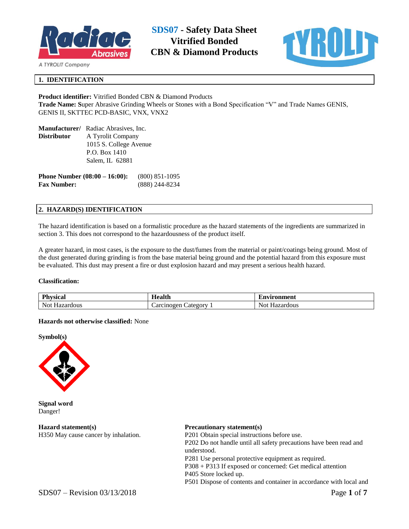



# **1. IDENTIFICATION**

# **Product identifier:** Vitrified Bonded CBN & Diamond Products **Trade Name: S**uper Abrasive Grinding Wheels or Stones with a Bond Specification "V" and Trade Names GENIS, GENIS II, SKTTEC PCD-BASIC, VNX, VNX2

|             | <b>Manufacturer/</b> Radiac Abrasives, Inc.         |  |
|-------------|-----------------------------------------------------|--|
| Distributor | A Tyrolit Company                                   |  |
|             | 1015 S. College Avenue                              |  |
|             | P.O. Box 1410                                       |  |
|             | Salem, IL 62881                                     |  |
|             | <b>Phone Number (08:00 – 16:00):</b> (800) 851-1095 |  |

**Fax Number:** (888) 244-8234

## **2. HAZARD(S) IDENTIFICATION**

The hazard identification is based on a formalistic procedure as the hazard statements of the ingredients are summarized in section 3. This does not correspond to the hazardousness of the product itself.

A greater hazard, in most cases, is the exposure to the dust/fumes from the material or paint/coatings being ground. Most of the dust generated during grinding is from the base material being ground and the potential hazard from this exposure must be evaluated. This dust may present a fire or dust explosion hazard and may present a serious health hazard.

#### **Classification:**

| DI.<br><b>vsica</b><br>гш | $-$<br>$\mathbf{a}$<br>зани | `ronment<br>$\mathbf{L}$ n $\mathbf{v}$<br>. |
|---------------------------|-----------------------------|----------------------------------------------|
| Not.                      | ategory                     | Not.                                         |
| zar                       | Jar                         | azard                                        |
| dous                      | .cinogen                    | rdous                                        |

## **Hazards not otherwise classified:** None





**Signal word** Danger!

**Hazard statement(s)** H350 May cause cancer by inhalation.

## **Precautionary statement(s)**

P201 Obtain special instructions before use. P202 Do not handle until all safety precautions have been read and understood. P281 Use personal protective equipment as required. P308 + P313 If exposed or concerned: Get medical attention P405 Store locked up. P501 Dispose of contents and container in accordance with local and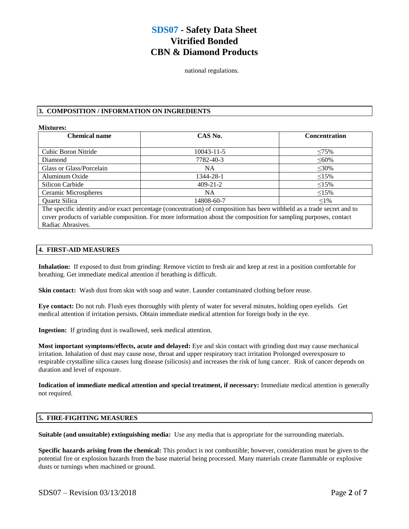national regulations.

# **3. COMPOSITION / INFORMATION ON INGREDIENTS**

#### **Mixtures:**

| <b>Chemical name</b>                                                                                                    | CAS No.        | <b>Concentration</b> |  |
|-------------------------------------------------------------------------------------------------------------------------|----------------|----------------------|--|
|                                                                                                                         |                |                      |  |
| Cubic Boron Nitride                                                                                                     | 10043-11-5     | $\leq 75\%$          |  |
| Diamond                                                                                                                 | 7782-40-3      | $\leq 60\%$          |  |
| Glass or Glass/Porcelain                                                                                                | NA.            | $\leq 30\%$          |  |
| Aluminum Oxide                                                                                                          | 1344-28-1      | $\leq 15\%$          |  |
| Silicon Carbide                                                                                                         | $409 - 21 - 2$ | $\leq15\%$           |  |
| Ceramic Microspheres                                                                                                    | NA.            | $\leq15\%$           |  |
| Quartz Silica                                                                                                           | 14808-60-7     | $1\%$                |  |
| The specific identity and/or exact percentage (concentration) of composition has been withheld as a trade secret and to |                |                      |  |
| cover products of variable composition. For more information about the composition for sampling purposes, contact       |                |                      |  |

Radiac Abrasives.

# **4. FIRST-AID MEASURES**

**Inhalation:** If exposed to dust from grinding: Remove victim to fresh air and keep at rest in a position comfortable for breathing. Get immediate medical attention if breathing is difficult.

**Skin contact:** Wash dust from skin with soap and water. Launder contaminated clothing before reuse.

**Eye contact:** Do not rub. Flush eyes thoroughly with plenty of water for several minutes, holding open eyelids. Get medical attention if irritation persists. Obtain immediate medical attention for foreign body in the eye.

**Ingestion:** If grinding dust is swallowed, seek medical attention.

**Most important symptoms/effects, acute and delayed:** Eye and skin contact with grinding dust may cause mechanical irritation. Inhalation of dust may cause nose, throat and upper respiratory tract irritation Prolonged overexposure to respirable crystalline silica causes lung disease (silicosis) and increases the risk of lung cancer. Risk of cancer depends on duration and level of exposure.

**Indication of immediate medical attention and special treatment, if necessary:** Immediate medical attention is generally not required.

## **5. FIRE-FIGHTING MEASURES**

**Suitable (and unsuitable) extinguishing media:** Use any media that is appropriate for the surrounding materials.

**Specific hazards arising from the chemical:** This product is not combustible; however, consideration must be given to the potential fire or explosion hazards from the base material being processed. Many materials create flammable or explosive dusts or turnings when machined or ground.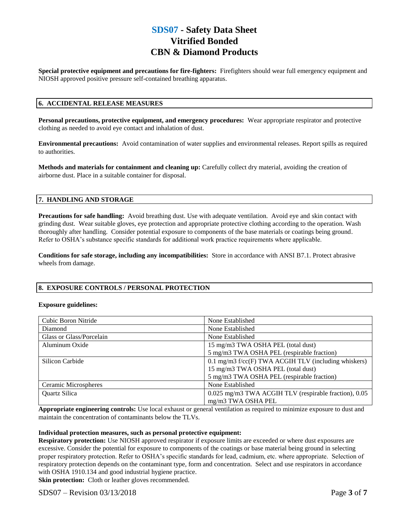**Special protective equipment and precautions for fire-fighters:** Firefighters should wear full emergency equipment and NIOSH approved positive pressure self-contained breathing apparatus.

# **6. ACCIDENTAL RELEASE MEASURES**

**Personal precautions, protective equipment, and emergency procedures:** Wear appropriate respirator and protective clothing as needed to avoid eye contact and inhalation of dust.

**Environmental precautions:** Avoid contamination of water supplies and environmental releases. Report spills as required to authorities.

**Methods and materials for containment and cleaning up:** Carefully collect dry material, avoiding the creation of airborne dust. Place in a suitable container for disposal.

## **7. HANDLING AND STORAGE**

**Precautions for safe handling:** Avoid breathing dust. Use with adequate ventilation. Avoid eye and skin contact with grinding dust. Wear suitable gloves, eye protection and appropriate protective clothing according to the operation. Wash thoroughly after handling. Consider potential exposure to components of the base materials or coatings being ground. Refer to OSHA's substance specific standards for additional work practice requirements where applicable.

**Conditions for safe storage, including any incompatibilities:** Store in accordance with ANSI B7.1. Protect abrasive wheels from damage.

#### **8. EXPOSURE CONTROLS / PERSONAL PROTECTION**

#### **Exposure guidelines:**

| Cubic Boron Nitride      | None Established                                       |  |
|--------------------------|--------------------------------------------------------|--|
| Diamond                  | None Established                                       |  |
| Glass or Glass/Porcelain | None Established                                       |  |
| Aluminum Oxide           | 15 mg/m3 TWA OSHA PEL (total dust)                     |  |
|                          | 5 mg/m3 TWA OSHA PEL (respirable fraction)             |  |
| Silicon Carbide          | $0.1$ mg/m3 f/cc(F) TWA ACGIH TLV (including whiskers) |  |
|                          | 15 mg/m3 TWA OSHA PEL (total dust)                     |  |
|                          | 5 mg/m3 TWA OSHA PEL (respirable fraction)             |  |
| Ceramic Microspheres     | None Established                                       |  |
| Quartz Silica            | 0.025 mg/m3 TWA ACGIH TLV (respirable fraction), 0.05  |  |
|                          | mg/m3 TWA OSHA PEL                                     |  |

**Appropriate engineering controls:** Use local exhaust or general ventilation as required to minimize exposure to dust and maintain the concentration of contaminants below the TLVs.

#### **Individual protection measures, such as personal protective equipment:**

**Respiratory protection:** Use NIOSH approved respirator if exposure limits are exceeded or where dust exposures are excessive. Consider the potential for exposure to components of the coatings or base material being ground in selecting proper respiratory protection. Refer to OSHA's specific standards for lead, cadmium, etc. where appropriate. Selection of respiratory protection depends on the contaminant type, form and concentration. Select and use respirators in accordance with OSHA 1910.134 and good industrial hygiene practice.

**Skin protection:** Cloth or leather gloves recommended.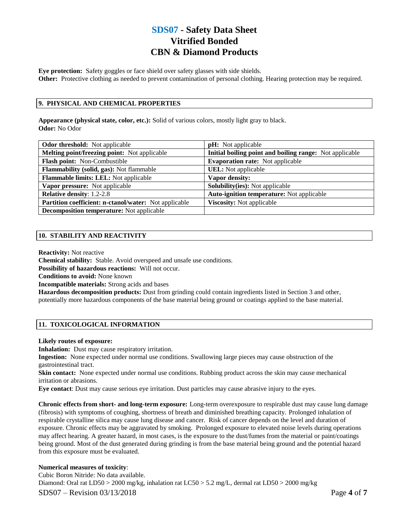**Eye protection:** Safety goggles or face shield over safety glasses with side shields. **Other:** Protective clothing as needed to prevent contamination of personal clothing. Hearing protection may be required.

# **9. PHYSICAL AND CHEMICAL PROPERTIES**

**Appearance (physical state, color, etc.):** Solid of various colors, mostly light gray to black. **Odor:** No Odor

| <b>Odor threshold:</b> Not applicable                 | <b>pH</b> : Not applicable                              |
|-------------------------------------------------------|---------------------------------------------------------|
| Melting point/freezing point: Not applicable          | Initial boiling point and boiling range: Not applicable |
| Flash point: Non-Combustible                          | <b>Evaporation rate:</b> Not applicable                 |
| Flammability (solid, gas): Not flammable              | <b>UEL:</b> Not applicable                              |
| <b>Flammable limits: LEL:</b> Not applicable          | Vapor density:                                          |
| Vapor pressure: Not applicable                        | <b>Solubility(ies):</b> Not applicable                  |
| <b>Relative density: 1.2-2.8</b>                      | <b>Auto-ignition temperature:</b> Not applicable        |
| Partition coefficient: n-ctanol/water: Not applicable | <b>Viscosity:</b> Not applicable                        |
| <b>Decomposition temperature:</b> Not applicable      |                                                         |

# **10. STABILITY AND REACTIVITY**

**Reactivity:** Not reactive

**Chemical stability:** Stable. Avoid overspeed and unsafe use conditions.

**Possibility of hazardous reactions:** Will not occur.

**Conditions to avoid:** None known

**Incompatible materials:** Strong acids and bases

**Hazardous decomposition products:** Dust from grinding could contain ingredients listed in Section 3 and other, potentially more hazardous components of the base material being ground or coatings applied to the base material.

#### **11. TOXICOLOGICAL INFORMATION**

#### **Likely routes of exposure:**

**Inhalation:** Dust may cause respiratory irritation.

**Ingestion:** None expected under normal use conditions. Swallowing large pieces may cause obstruction of the gastrointestinal tract.

**Skin contact:** None expected under normal use conditions. Rubbing product across the skin may cause mechanical irritation or abrasions.

**Eye contact**: Dust may cause serious eye irritation. Dust particles may cause abrasive injury to the eyes.

**Chronic effects from short- and long-term exposure:** Long-term overexposure to respirable dust may cause lung damage (fibrosis) with symptoms of coughing, shortness of breath and diminished breathing capacity. Prolonged inhalation of respirable crystalline silica may cause lung disease and cancer. Risk of cancer depends on the level and duration of exposure. Chronic effects may be aggravated by smoking. Prolonged exposure to elevated noise levels during operations may affect hearing. A greater hazard, in most cases, is the exposure to the dust/fumes from the material or paint/coatings being ground. Most of the dust generated during grinding is from the base material being ground and the potential hazard from this exposure must be evaluated.

#### **Numerical measures of toxicity**:

SDS07 – Revision 03/13/2018 Page **4** of **7** Cubic Boron Nitride: No data available. Diamond: Oral rat LD50 > 2000 mg/kg, inhalation rat LC50 > 5.2 mg/L, dermal rat LD50 > 2000 mg/kg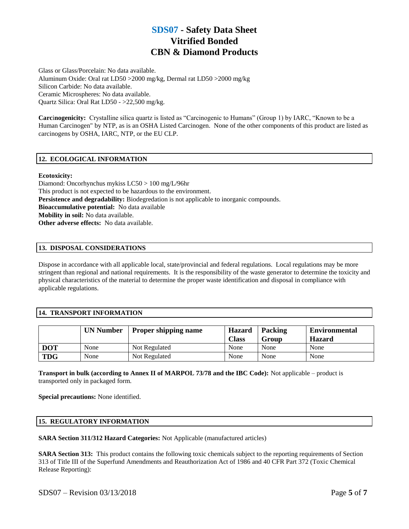Glass or Glass/Porcelain: No data available. Aluminum Oxide: Oral rat LD50 >2000 mg/kg, Dermal rat LD50 >2000 mg/kg Silicon Carbide: No data available. Ceramic Microspheres: No data available. Quartz Silica: Oral Rat LD50 - >22,500 mg/kg.

**Carcinogenicity:** Crystalline silica quartz is listed as "Carcinogenic to Humans" (Group 1) by IARC, "Known to be a Human Carcinogen" by NTP, as is an OSHA Listed Carcinogen. None of the other components of this product are listed as carcinogens by OSHA, IARC, NTP, or the EU CLP.

# **12. ECOLOGICAL INFORMATION**

#### **Ecotoxicity:**

Diamond: Oncorhynchus mykiss LC50 > 100 mg/L/96hr This product is not expected to be hazardous to the environment. **Persistence and degradability:** Biodegredation is not applicable to inorganic compounds. **Bioaccumulative potential:** No data available **Mobility in soil:** No data available. **Other adverse effects:** No data available.

#### **13. DISPOSAL CONSIDERATIONS**

Dispose in accordance with all applicable local, state/provincial and federal regulations. Local regulations may be more stringent than regional and national requirements. It is the responsibility of the waste generator to determine the toxicity and physical characteristics of the material to determine the proper waste identification and disposal in compliance with applicable regulations.

## **14. TRANSPORT INFORMATION**

|            | <b>UN Number</b> | <b>Proper shipping name</b> | <b>Hazard</b><br><b>Class</b> | Packing<br>Group | <b>Environmental</b><br><b>Hazard</b> |
|------------|------------------|-----------------------------|-------------------------------|------------------|---------------------------------------|
| <b>DOT</b> | None             | Not Regulated               | None                          | None             | None                                  |
| <b>TDG</b> | None             | Not Regulated               | None                          | None             | None                                  |

**Transport in bulk (according to Annex II of MARPOL 73/78 and the IBC Code):** Not applicable – product is transported only in packaged form.

**Special precautions:** None identified.

#### **15. REGULATORY INFORMATION**

**SARA Section 311/312 Hazard Categories:** Not Applicable (manufactured articles)

**SARA Section 313:** This product contains the following toxic chemicals subject to the reporting requirements of Section 313 of Title III of the Superfund Amendments and Reauthorization Act of 1986 and 40 CFR Part 372 (Toxic Chemical Release Reporting):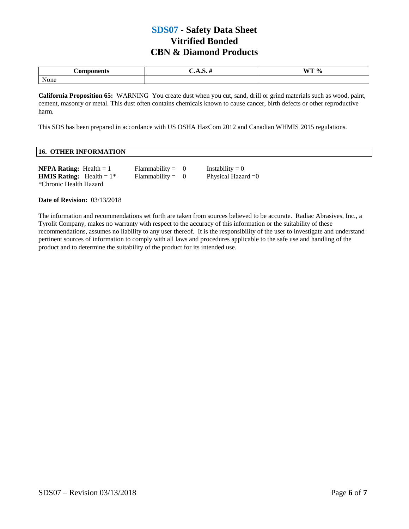| <b>Components</b> | للمعديد<br>л. н. н | $WT \%$ |
|-------------------|--------------------|---------|
| None              |                    |         |

**California Proposition 65:** WARNING You create dust when you cut, sand, drill or grind materials such as wood, paint, cement, masonry or metal. This dust often contains chemicals known to cause cancer, birth defects or other reproductive harm.

This SDS has been prepared in accordance with US OSHA HazCom 2012 and Canadian WHMIS 2015 regulations.

# **16. OTHER INFORMATION**

| <b>NFPA Rating:</b> Health $= 1$   | $Flammability = 0$ | Instability $= 0$    |
|------------------------------------|--------------------|----------------------|
| <b>HMIS Rating:</b> Health = $1^*$ | $Flammability = 0$ | Physical Hazard $=0$ |
| *Chronic Health Hazard             |                    |                      |

**Date of Revision:** 03/13/2018

The information and recommendations set forth are taken from sources believed to be accurate. Radiac Abrasives, Inc., a Tyrolit Company, makes no warranty with respect to the accuracy of this information or the suitability of these recommendations, assumes no liability to any user thereof. It is the responsibility of the user to investigate and understand pertinent sources of information to comply with all laws and procedures applicable to the safe use and handling of the product and to determine the suitability of the product for its intended use.